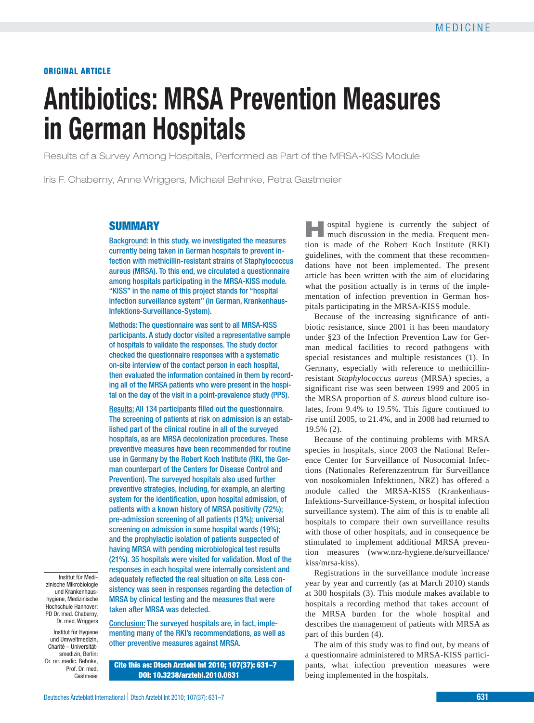# **ORIGINAL ARTICLE**

# **Antibiotics: MRSA Prevention Measures in German Hospitals**

Results of a Survey Among Hospitals, Performed as Part of the MRSA-KISS Module

Iris F. Chaberny, Anne Wriggers, Michael Behnke, Petra Gastmeier

# **SUMMARY**

Background: In this study, we investigated the measures currently being taken in German hospitals to prevent infection with methicillin-resistant strains of Staphylococcus aureus (MRSA). To this end, we circulated a questionnaire among hospitals participating in the MRSA-KISS module. "KISS" in the name of this project stands for "hospital infection surveillance system" (in German, Krankenhaus- Infektions-Surveillance-System).

Methods: The questionnaire was sent to all MRSA-KISS participants. A study doctor visited a representative sample of hospitals to validate the responses. The study doctor checked the questionnaire responses with a systematic on-site interview of the contact person in each hospital, then evaluated the information contained in them by recording all of the MRSA patients who were present in the hospital on the day of the visit in a point-prevalence study (PPS).

Results: All 134 participants filled out the questionnaire. The screening of patients at risk on admission is an established part of the clinical routine in all of the surveyed hospitals, as are MRSA decolonization procedures. These preventive measures have been recommended for routine use in Germany by the Robert Koch Institute (RKI, the German counterpart of the Centers for Disease Control and Prevention). The surveyed hospitals also used further preventive strategies, including, for example, an alerting system for the identification, upon hospital admission, of patients with a known history of MRSA positivity (72%); pre-admission screening of all patients (13%); universal screening on admission in some hospital wards (19%); and the prophylactic isolation of patients suspected of having MRSA with pending microbiological test results (21%). 35 hospitals were visited for validation. Most of the responses in each hospital were internally consistent and adequately reflected the real situation on site. Less consistency was seen in responses regarding the detection of MRSA by clinical testing and the measures that were taken after MRSA was detected.

Institut für Medi zinische Mikrobiologie und Krankenhaus hygiene, Medizinische Hochschule Hannover: PD Dr. med. Chaberny, Dr. med. Wriggers

Institut für Hygiene und Umweltmedizin, Charité – Universitätsmedizin, Berlin: Dr. rer. medic. Behnke, Prof. Dr. med. Gastmeier

Conclusion: The surveyed hospitals are, in fact, implementing many of the RKI's recommendations, as well as other preventive measures against MRSA.

**Cite this as: Dtsch Arztebl Int 2010; 107(37): 631–7 DOI: 10.3238/arztebl.2010.0631**

**Hospital hygiene is currently the subject of much discussion in the media. Frequent men**tion is made of the Robert Koch Institute (RKI) guidelines, with the comment that these recommendations have not been implemented. The present article has been written with the aim of elucidating what the position actually is in terms of the implementation of infection prevention in German hospitals participating in the MRSA-KISS module.

Because of the increasing significance of antibiotic resistance, since 2001 it has been mandatory under §23 of the Infection Prevention Law for German medical facilities to record pathogens with special resistances and multiple resistances (1). In Germany, especially with reference to methicillin resistant *Staphylococcus aureus* (MRSA) species, a significant rise was seen between 1999 and 2005 in the MRSA proportion of *S. aureus* blood culture isolates, from 9.4% to 19.5%. This figure continued to rise until 2005, to 21.4%, and in 2008 had returned to 19.5% (2).

Because of the continuing problems with MRSA species in hospitals, since 2003 the National Reference Center for Surveillance of Nosocomial Infections (Nationales Referenzzentrum für Surveillance von nosokomialen Infektionen, NRZ) has offered a module called the MRSA-KISS (Krankenhaus- Infektions-Surveillance-System, or hospital infection surveillance system). The aim of this is to enable all hospitals to compare their own surveillance results with those of other hospitals, and in consequence be stimulated to implement additional MRSA prevention measures (www.nrz-hygiene.de/surveillance/ kiss/mrsa-kiss).

Registrations in the surveillance module increase year by year and currently (as at March 2010) stands at 300 hospitals (3). This module makes available to hospitals a recording method that takes account of the MRSA burden for the whole hospital and describes the management of patients with MRSA as part of this burden (4).

The aim of this study was to find out, by means of a questionnaire administered to MRSA-KISS participants, what infection prevention measures were being implemented in the hospitals.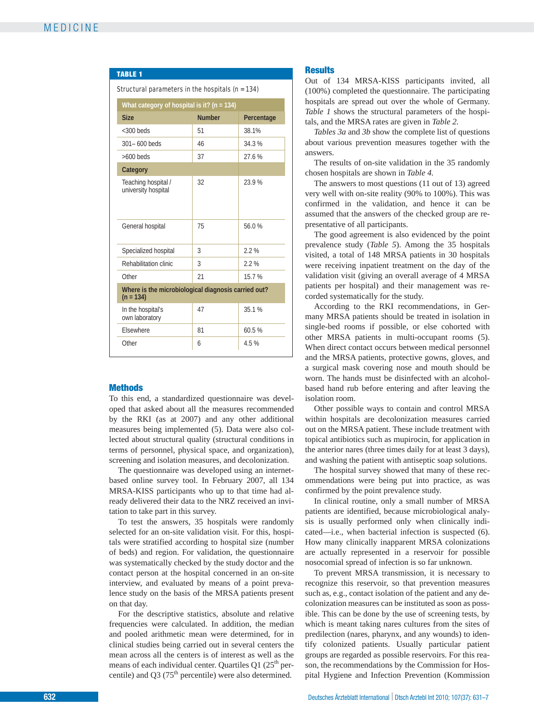| <b>TABLE 1</b>                                                     |                                                |            |  |  |
|--------------------------------------------------------------------|------------------------------------------------|------------|--|--|
| Structural parameters in the hospitals $(n = 134)$                 |                                                |            |  |  |
|                                                                    | What category of hospital is it? ( $n = 134$ ) |            |  |  |
| <b>Size</b>                                                        | <b>Number</b>                                  | Percentage |  |  |
| $<$ 300 beds                                                       | 51                                             | 38.1%      |  |  |
| $301 - 600$ beds                                                   | 46                                             | 34 3 %     |  |  |
| $>600$ beds                                                        | 37                                             | 27.6%      |  |  |
| Category                                                           |                                                |            |  |  |
| Teaching hospital /<br>university hospital                         | 32                                             | 23.9%      |  |  |
| General hospital                                                   | 75                                             | 56.0%      |  |  |
| Specialized hospital                                               | 3                                              | 22%        |  |  |
| Rehabilitation clinic                                              | 3                                              | 22%        |  |  |
| Other                                                              | 21                                             | 15.7%      |  |  |
| Where is the microbiological diagnosis carried out?<br>$(n = 134)$ |                                                |            |  |  |
| In the hospital's<br>own laboratory                                | 47                                             | 35.1%      |  |  |
| Elsewhere                                                          | 81                                             | 60.5%      |  |  |
| Other                                                              | 6                                              | 4.5%       |  |  |

# **Methods**

To this end, a standardized questionnaire was developed that asked about all the measures recommended by the RKI (as at 2007) and any other additional measures being implemented (5). Data were also collected about structural quality (structural conditions in terms of personnel, physical space, and organization), screening and isolation measures, and decolonization.

The questionnaire was developed using an internetbased online survey tool. In February 2007, all 134 MRSA-KISS participants who up to that time had already delivered their data to the NRZ received an invitation to take part in this survey.

To test the answers, 35 hospitals were randomly selected for an on-site validation visit. For this, hospitals were stratified according to hospital size (number of beds) and region. For validation, the questionnaire was systematically checked by the study doctor and the contact person at the hospital concerned in an on-site interview, and evaluated by means of a point prevalence study on the basis of the MRSA patients present on that day.

For the descriptive statistics, absolute and relative frequencies were calculated. In addition, the median and pooled arithmetic mean were determined, for in clinical studies being carried out in several centers the mean across all the centers is of interest as well as the means of each individual center. Quartiles  $Q1 (25<sup>th</sup>$  percentile) and Q3 ( $75<sup>th</sup>$  percentile) were also determined.

## **Results**

Out of 134 MRSA-KISS participants invited, all (100%) completed the questionnaire. The participating hospitals are spread out over the whole of Germany. *Table 1* shows the structural parameters of the hospitals, and the MRSA rates are given in *Table 2.*

*Tables 3a* and *3b* show the complete list of questions about various prevention measures together with the answers.

The results of on-site validation in the 35 randomly chosen hospitals are shown in *Table 4.*

The answers to most questions (11 out of 13) agreed very well with on-site reality (90% to 100%). This was confirmed in the validation, and hence it can be assumed that the answers of the checked group are representative of all participants.

The good agreement is also evidenced by the point prevalence study (*Table 5*). Among the 35 hospitals visited, a total of 148 MRSA patients in 30 hospitals were receiving inpatient treatment on the day of the validation visit (giving an overall average of 4 MRSA patients per hospital) and their management was recorded systematically for the study.

According to the RKI recommendations, in Germany MRSA patients should be treated in isolation in single-bed rooms if possible, or else cohorted with other MRSA patients in multi-occupant rooms (5). When direct contact occurs between medical personnel and the MRSA patients, protective gowns, gloves, and a surgical mask covering nose and mouth should be worn. The hands must be disinfected with an alcoholbased hand rub before entering and after leaving the isolation room.

Other possible ways to contain and control MRSA within hospitals are decolonization measures carried out on the MRSA patient. These include treatment with topical antibiotics such as mupirocin, for application in the anterior nares (three times daily for at least 3 days), and washing the patient with antiseptic soap solutions.

The hospital survey showed that many of these recommendations were being put into practice, as was confirmed by the point prevalence study.

In clinical routine, only a small number of MRSA patients are identified, because microbiological analysis is usually performed only when clinically indicated—i.e., when bacterial infection is suspected (6). How many clinically inapparent MRSA colonizations are actually represented in a reservoir for possible nosocomial spread of infection is so far unknown.

To prevent MRSA transmission, it is necessary to recognize this reservoir, so that prevention measures such as, e.g., contact isolation of the patient and any decolonization measures can be instituted as soon as possible. This can be done by the use of screening tests, by which is meant taking nares cultures from the sites of predilection (nares, pharynx, and any wounds) to identify colonized patients. Usually particular patient groups are regarded as possible reservoirs. For this reason, the recommendations by the Commission for Hospital Hygiene and Infection Prevention (Kommission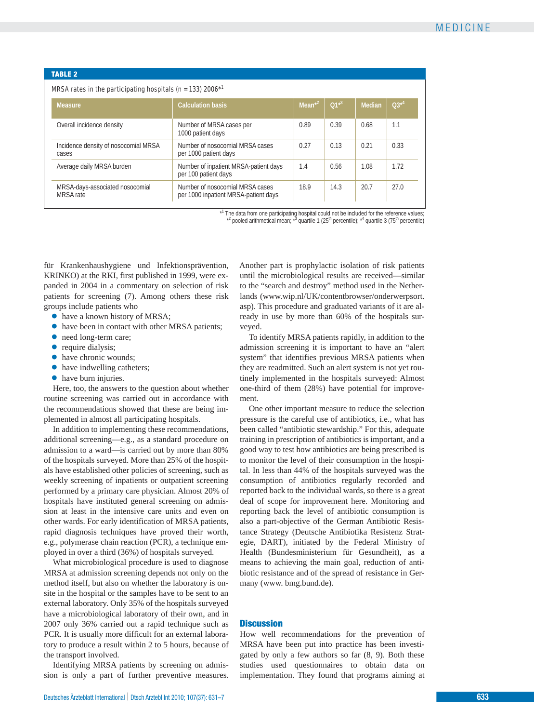| <b>TABLE 2</b>                                                                          |                                                                         |            |           |        |           |
|-----------------------------------------------------------------------------------------|-------------------------------------------------------------------------|------------|-----------|--------|-----------|
| MRSA rates in the participating hospitals ( $n = 133$ ) 2006 <sup><math>*1</math></sup> |                                                                         |            |           |        |           |
| <b>Measure</b>                                                                          | <b>Calculation basis</b>                                                | $Mean^{2}$ | $01^{*3}$ | Median | $03^{*4}$ |
| Overall incidence density                                                               | Number of MRSA cases per<br>1000 patient days                           | 0.89       | 0.39      | 0.68   | 1.1       |
| Incidence density of nosocomial MRSA<br>cases                                           | Number of nosocomial MRSA cases<br>per 1000 patient days                | 0.27       | 0.13      | 0.21   | 0.33      |
| Average daily MRSA burden                                                               | Number of inpatient MRSA-patient days<br>per 100 patient days           | 1.4        | 0.56      | 1.08   | 1.72      |
| MRSA-days-associated nosocomial<br>MRSA rate                                            | Number of nosocomial MRSA cases<br>per 1000 inpatient MRSA-patient days | 18.9       | 14.3      | 20.7   | 27.0      |

\*<sup>1</sup> The data from one participating hospital could not be included for the reference values;<br>\*2 pooled arithmetical mean; \*3 quartile 1 (25<sup>th</sup> percentile); \*<sup>4</sup> quartile 3 (75<sup>th</sup> percentile)

für Krankenhaushygiene und Infektionsprävention, KRINKO) at the RKI, first published in 1999, were expanded in 2004 in a commentary on selection of risk patients for screening (7). Among others these risk groups include patients who

- **●** have a known history of MRSA;
- **●** have been in contact with other MRSA patients;
- **●** need long-term care;
- **●** require dialysis;
- **●** have chronic wounds;
- **●** have indwelling catheters;
- **●** have burn injuries.

Here, too, the answers to the question about whether routine screening was carried out in accordance with the recommendations showed that these are being implemented in almost all participating hospitals.

In addition to implementing these recommendations, additional screening—e.g., as a standard procedure on admission to a ward—is carried out by more than 80% of the hospitals surveyed. More than 25% of the hospitals have established other policies of screening, such as weekly screening of inpatients or outpatient screening performed by a primary care physician. Almost 20% of hospitals have instituted general screening on admission at least in the intensive care units and even on other wards. For early identification of MRSA patients, rapid diagnosis techniques have proved their worth, e.g., polymerase chain reaction (PCR), a technique employed in over a third (36%) of hospitals surveyed.

What microbiological procedure is used to diagnose MRSA at admission screening depends not only on the method itself, but also on whether the laboratory is onsite in the hospital or the samples have to be sent to an external laboratory. Only 35% of the hospitals surveyed have a microbiological laboratory of their own, and in 2007 only 36% carried out a rapid technique such as PCR. It is usually more difficult for an external laboratory to produce a result within 2 to 5 hours, because of the transport involved.

Identifying MRSA patients by screening on admission is only a part of further preventive measures. Another part is prophylactic isolation of risk patients until the microbiological results are received—similar to the "search and destroy" method used in the Netherlands (www.wip.nl/UK/contentbrowser/onderwerpsort. asp). This procedure and graduated variants of it are already in use by more than 60% of the hospitals surveyed.

To identify MRSA patients rapidly, in addition to the admission screening it is important to have an "alert system" that identifies previous MRSA patients when they are readmitted. Such an alert system is not yet routinely implemented in the hospitals surveyed: Almost one-third of them (28%) have potential for improvement.

One other important measure to reduce the selection pressure is the careful use of antibiotics, i.e., what has been called "antibiotic stewardship." For this, adequate training in prescription of antibiotics is important, and a good way to test how antibiotics are being prescribed is to monitor the level of their consumption in the hospital. In less than 44% of the hospitals surveyed was the consumption of antibiotics regularly recorded and reported back to the individual wards, so there is a great deal of scope for improvement here. Monitoring and reporting back the level of antibiotic consumption is also a part-objective of the German Antibiotic Resistance Strategy (Deutsche Antibiotika Resistenz Strategie, DART), initiated by the Federal Ministry of Health (Bundesministerium für Gesundheit), as a means to achieving the main goal, reduction of antibiotic resistance and of the spread of resistance in Germany (www. bmg.bund.de).

# **Discussion**

How well recommendations for the prevention of MRSA have been put into practice has been investigated by only a few authors so far (8, 9). Both these studies used questionnaires to obtain data on implementation. They found that programs aiming at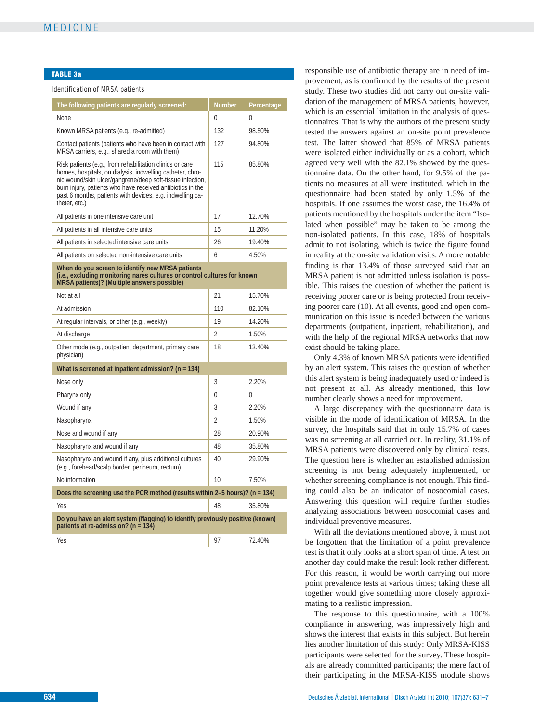#### **TABLE 3a**

# Identification of MRSA patients

| The following patients are regularly screened:                                                                                                                                                                                                                                                                                 | <b>Number</b>  | Percentage |  |
|--------------------------------------------------------------------------------------------------------------------------------------------------------------------------------------------------------------------------------------------------------------------------------------------------------------------------------|----------------|------------|--|
| <b>None</b>                                                                                                                                                                                                                                                                                                                    | 0              | 0          |  |
| Known MRSA patients (e.g., re-admitted)                                                                                                                                                                                                                                                                                        | 132            | 98.50%     |  |
| Contact patients (patients who have been in contact with<br>MRSA carriers, e.g., shared a room with them)                                                                                                                                                                                                                      | 127            | 94.80%     |  |
| Risk patients (e.g., from rehabilitation clinics or care<br>homes, hospitals, on dialysis, indwelling catheter, chro-<br>nic wound/skin ulcer/gangrene/deep soft-tissue infection,<br>burn injury, patients who have received antibiotics in the<br>past 6 months, patients with devices, e.g. indwelling ca-<br>theter, etc.) | 115            | 85.80%     |  |
| All patients in one intensive care unit                                                                                                                                                                                                                                                                                        | 17             | 12.70%     |  |
| All patients in all intensive care units                                                                                                                                                                                                                                                                                       | 15             | 11.20%     |  |
| All patients in selected intensive care units                                                                                                                                                                                                                                                                                  | 26             | 19.40%     |  |
| All patients on selected non-intensive care units                                                                                                                                                                                                                                                                              | 6              | 4.50%      |  |
| When do you screen to identify new MRSA patients<br>(i.e., excluding monitoring nares cultures or control cultures for known<br>MRSA patients)? (Multiple answers possible)                                                                                                                                                    |                |            |  |
| Not at all                                                                                                                                                                                                                                                                                                                     | 21             | 15.70%     |  |
| At admission                                                                                                                                                                                                                                                                                                                   | 110            | 82.10%     |  |
| At regular intervals, or other (e.g., weekly)                                                                                                                                                                                                                                                                                  | 19             | 14.20%     |  |
| At discharge                                                                                                                                                                                                                                                                                                                   | $\overline{2}$ | 1.50%      |  |
| Other mode (e.g., outpatient department, primary care<br>physician)                                                                                                                                                                                                                                                            | 18             | 13.40%     |  |
| What is screened at inpatient admission? ( $n = 134$ )                                                                                                                                                                                                                                                                         |                |            |  |
| Nose only                                                                                                                                                                                                                                                                                                                      | 3              | 2.20%      |  |
| Pharynx only                                                                                                                                                                                                                                                                                                                   | 0              | 0          |  |
| Wound if any                                                                                                                                                                                                                                                                                                                   | 3              | 2.20%      |  |
| Nasopharynx                                                                                                                                                                                                                                                                                                                    | $\overline{2}$ | 1.50%      |  |
| Nose and wound if any                                                                                                                                                                                                                                                                                                          | 28             | 20.90%     |  |
| Nasopharynx and wound if any                                                                                                                                                                                                                                                                                                   | 48             | 35.80%     |  |
| Nasopharynx and wound if any, plus additional cultures<br>(e.g., forehead/scalp border, perineum, rectum)                                                                                                                                                                                                                      | 40             | 29.90%     |  |
| No information                                                                                                                                                                                                                                                                                                                 | 10             | 7.50%      |  |
| Does the screening use the PCR method (results within 2-5 hours)? ( $n = 134$ )                                                                                                                                                                                                                                                |                |            |  |
| Yes                                                                                                                                                                                                                                                                                                                            | 48             | 35.80%     |  |
| Do you have an alert system (flagging) to identify previously positive (known)<br>patients at re-admission? ( $n = 134$ )                                                                                                                                                                                                      |                |            |  |
| Yes                                                                                                                                                                                                                                                                                                                            | 97             | 72.40%     |  |

responsible use of antibiotic therapy are in need of improvement, as is confirmed by the results of the present study. These two studies did not carry out on-site validation of the management of MRSA patients, however, which is an essential limitation in the analysis of questionnaires. That is why the authors of the present study tested the answers against an on-site point prevalence test. The latter showed that 85% of MRSA patients were isolated either individually or as a cohort, which agreed very well with the 82.1% showed by the questionnaire data. On the other hand, for 9.5% of the patients no measures at all were instituted, which in the questionnaire had been stated by only 1.5% of the hospitals. If one assumes the worst case, the 16.4% of patients mentioned by the hospitals under the item "Isolated when possible" may be taken to be among the non-isolated patients. In this case, 18% of hospitals admit to not isolating, which is twice the figure found in reality at the on-site validation visits. A more notable finding is that 13.4% of those surveyed said that an MRSA patient is not admitted unless isolation is possible. This raises the question of whether the patient is receiving poorer care or is being protected from receiving poorer care (10). At all events, good and open communication on this issue is needed between the various departments (outpatient, inpatient, rehabilitation), and with the help of the regional MRSA networks that now exist should be taking place.

Only 4.3% of known MRSA patients were identified by an alert system. This raises the question of whether this alert system is being inadequately used or indeed is not present at all. As already mentioned, this low number clearly shows a need for improvement.

A large discrepancy with the questionnaire data is visible in the mode of identification of MRSA. In the survey, the hospitals said that in only 15.7% of cases was no screening at all carried out. In reality, 31.1% of MRSA patients were discovered only by clinical tests. The question here is whether an established admission screening is not being adequately implemented, or whether screening compliance is not enough. This finding could also be an indicator of nosocomial cases. Answering this question will require further studies analyzing associations between nosocomial cases and individual preventive measures.

With all the deviations mentioned above, it must not be forgotten that the limitation of a point prevalence test is that it only looks at a short span of time. A test on another day could make the result look rather different. For this reason, it would be worth carrying out more point prevalence tests at various times; taking these all together would give something more closely approximating to a realistic impression.

The response to this questionnaire, with a 100% compliance in answering, was impressively high and shows the interest that exists in this subject. But herein lies another limitation of this study: Only MRSA-KISS participants were selected for the survey. These hospitals are already committed participants; the mere fact of their participating in the MRSA-KISS module shows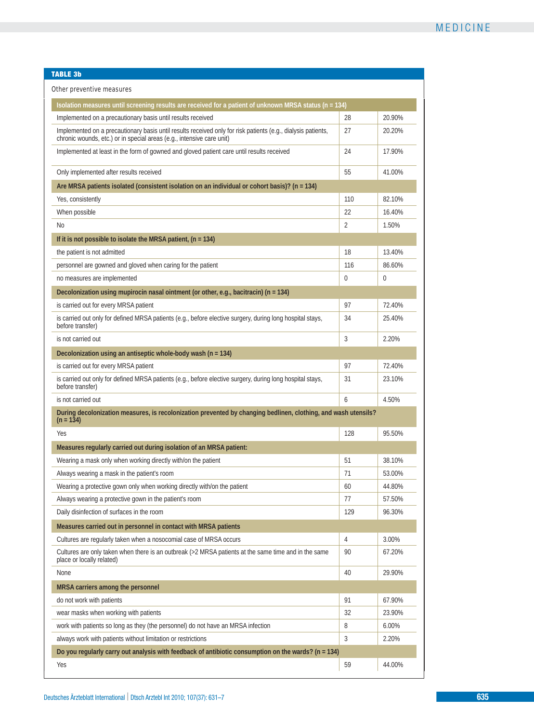# **TABLE 3b**

| Isolation measures until screening results are received for a patient of unknown MRSA status (n = 134)                                                                                |     |                  |
|---------------------------------------------------------------------------------------------------------------------------------------------------------------------------------------|-----|------------------|
| Implemented on a precautionary basis until results received                                                                                                                           | 28  | 20.90%           |
| Implemented on a precautionary basis until results received only for risk patients (e.g., dialysis patients,<br>chronic wounds, etc.) or in special areas (e.g., intensive care unit) | 27  | 20.20%           |
| Implemented at least in the form of gowned and gloved patient care until results received                                                                                             | 24  | 17.90%           |
| Only implemented after results received                                                                                                                                               | 55  | 41.00%           |
| Are MRSA patients isolated (consistent isolation on an individual or cohort basis)? (n = 134)                                                                                         |     |                  |
| Yes, consistently                                                                                                                                                                     | 110 | 82.10%           |
| When possible                                                                                                                                                                         | 22  | 16.40%           |
| No                                                                                                                                                                                    | 2   | 1.50%            |
| If it is not possible to isolate the MRSA patient, $(n = 134)$                                                                                                                        |     |                  |
| the patient is not admitted                                                                                                                                                           | 18  | 13.40%           |
| personnel are gowned and gloved when caring for the patient                                                                                                                           | 116 | 86.60%           |
| no measures are implemented                                                                                                                                                           | 0   | 0                |
| Decolonization using mupirocin nasal ointment (or other, e.g., bacitracin) ( $n = 134$ )                                                                                              |     |                  |
| is carried out for every MRSA patient                                                                                                                                                 | 97  | 72.40%           |
| is carried out only for defined MRSA patients (e.g., before elective surgery, during long hospital stays,<br>before transfer)                                                         | 34  | 25.40%           |
| is not carried out                                                                                                                                                                    | 3   | 2.20%            |
| Decolonization using an antiseptic whole-body wash (n = 134)                                                                                                                          |     |                  |
| is carried out for every MRSA patient                                                                                                                                                 | 97  | 72.40%           |
| is carried out only for defined MRSA patients (e.g., before elective surgery, during long hospital stays,<br>before transfer)                                                         | 31  | 23.10%           |
| is not carried out                                                                                                                                                                    | 6   | 4.50%            |
| During decolonization measures, is recolonization prevented by changing bedlinen, clothing, and wash utensils?<br>$(n = 134)$                                                         |     |                  |
| Yes                                                                                                                                                                                   | 128 | 95.50%           |
| Measures regularly carried out during isolation of an MRSA patient:                                                                                                                   |     |                  |
| Wearing a mask only when working directly with/on the patient                                                                                                                         | 51  | 38.10%           |
| Always wearing a mask in the patient's room                                                                                                                                           | 71  | 53.00%           |
| Wearing a protective gown only when working directly with/on the patient                                                                                                              | 60  | 44.80%           |
| Always wearing a protective gown in the patient's room                                                                                                                                | 77  | 57.50%           |
| Daily disinfection of surfaces in the room                                                                                                                                            | 129 | 96.30%           |
| Measures carried out in personnel in contact with MRSA patients                                                                                                                       |     |                  |
| Cultures are regularly taken when a nosocomial case of MRSA occurs                                                                                                                    | 4   | 3.00%            |
| Cultures are only taken when there is an outbreak (>2 MRSA patients at the same time and in the same                                                                                  | 90  | 67.20%           |
| place or locally related)                                                                                                                                                             |     | 29.90%           |
| None                                                                                                                                                                                  | 40  |                  |
| MRSA carriers among the personnel                                                                                                                                                     |     |                  |
| do not work with patients                                                                                                                                                             | 91  |                  |
| wear masks when working with patients                                                                                                                                                 | 32  | 67.90%<br>23.90% |
| work with patients so long as they (the personnel) do not have an MRSA infection                                                                                                      | 8   | 6.00%            |
| always work with patients without limitation or restrictions                                                                                                                          | 3   | 2.20%            |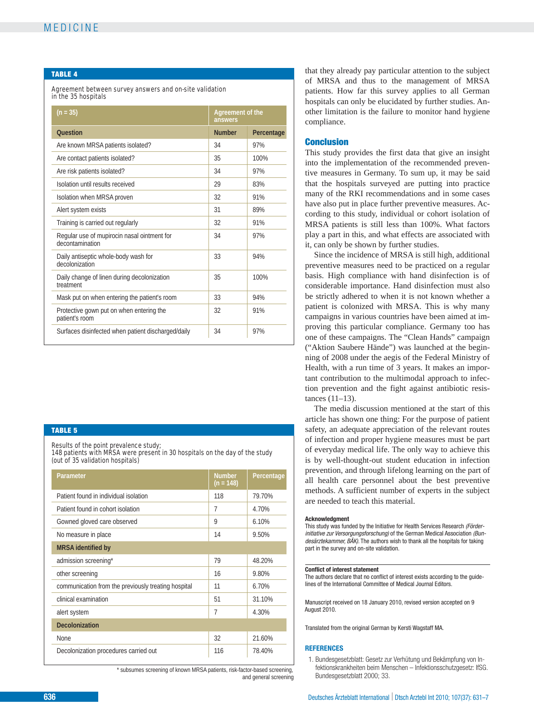# MEDICINE

## **TABLE 4**

## Agreement between survey answers and on-site validation in the 35 hospitals

| $(n = 35)$                                                     | Agreement of the<br>answers |            |
|----------------------------------------------------------------|-----------------------------|------------|
| <b>Ouestion</b>                                                | <b>Number</b>               | Percentage |
| Are known MRSA patients isolated?                              | 34                          | 97%        |
| Are contact patients isolated?                                 | 35                          | 100%       |
| Are risk patients isolated?                                    | 34                          | 97%        |
| Isolation until results received                               | 29                          | 83%        |
| Isolation when MRSA proven                                     | 32                          | 91%        |
| Alert system exists                                            | 31                          | 89%        |
| Training is carried out regularly                              | 32                          | 91%        |
| Regular use of mupirocin nasal ointment for<br>decontamination | 34                          | 97%        |
| Daily antiseptic whole-body wash for<br>decolonization         | 33                          | 94%        |
| Daily change of linen during decolonization<br>treatment       | 35                          | 100%       |
| Mask put on when entering the patient's room                   | 33                          | 94%        |
| Protective gown put on when entering the<br>patient's room     | 32                          | 91%        |
| Surfaces disinfected when patient discharged/daily             | 34                          | 97%        |

## **TABLE 5**

Results of the point prevalence study; 148 patients with MRSA were present in 30 hospitals on the day of the study (out of 35 validation hospitals)

| Parameter                                           | <b>Number</b><br>$(n = 148)$ | Percentage |
|-----------------------------------------------------|------------------------------|------------|
| Patient found in individual isolation               | 118                          | 79.70%     |
| Patient found in cohort isolation                   | 7                            | 4.70%      |
| Gowned gloved care observed                         | 9                            | 6.10%      |
| No measure in place                                 | 14                           | 9.50%      |
| <b>MRSA</b> identified by                           |                              |            |
| admission screening*                                | 79                           | 48.20%     |
| other screening                                     | 16                           | 9.80%      |
| communication from the previously treating hospital | 11                           | 6.70%      |
| clinical examination                                | 51                           | 31.10%     |
| alert system                                        | 7                            | 4.30%      |
| <b>Decolonization</b>                               |                              |            |
| None                                                | 32                           | 21.60%     |
| Decolonization procedures carried out               | 116                          | 78.40%     |

\* subsumes screening of known MRSA patients, risk-factor-based screening, and general screening

that they already pay particular attention to the subject of MRSA and thus to the management of MRSA patients. How far this survey applies to all German hospitals can only be elucidated by further studies. Another limitation is the failure to monitor hand hygiene compliance.

# **Conclusion**

This study provides the first data that give an insight into the implementation of the recommended preventive measures in Germany. To sum up, it may be said that the hospitals surveyed are putting into practice many of the RKI recommendations and in some cases have also put in place further preventive measures. According to this study, individual or cohort isolation of MRSA patients is still less than 100%. What factors play a part in this, and what effects are associated with it, can only be shown by further studies.

Since the incidence of MRSA is still high, additional preventive measures need to be practiced on a regular basis. High compliance with hand disinfection is of considerable importance. Hand disinfection must also be strictly adhered to when it is not known whether a patient is colonized with MRSA. This is why many campaigns in various countries have been aimed at improving this particular compliance. Germany too has one of these campaigns. The "Clean Hands" campaign ("Aktion Saubere Hände") was launched at the beginning of 2008 under the aegis of the Federal Ministry of Health, with a run time of 3 years. It makes an important contribution to the multimodal approach to infection prevention and the fight against antibiotic resistances (11–13).

The media discussion mentioned at the start of this article has shown one thing: For the purpose of patient safety, an adequate appreciation of the relevant routes of infection and proper hygiene measures must be part of everyday medical life. The only way to achieve this is by well-thought-out student education in infection prevention, and through lifelong learning on the part of all health care personnel about the best preventive methods. A sufficient number of experts in the subject are needed to teach this material.

#### **Acknowledgment**

This study was funded by the Initiative for Health Services Research *(Förder initiative zur Versorgungsforschung)* of the German Medical Association *(Bundesärztekammer, BÄK).* The authors wish to thank all the hospitals for taking part in the survey and on-site validation.

#### **Conflict of interest statement**

The authors declare that no conflict of interest exists according to the guidelines of the International Committee of Medical Journal Editors.

Manuscript received on 18 January 2010, revised version accepted on 9 August 2010.

Translated from the original German by Kersti Wagstaff MA.

#### **REFERENCES**

1. Bundesgesetzblatt: Gesetz zur Verhütung und Bekämpfung von Infektionskrankheiten beim Menschen – Infektionsschutzgesetz: IfSG. Bundesgesetzblatt 2000; 33.